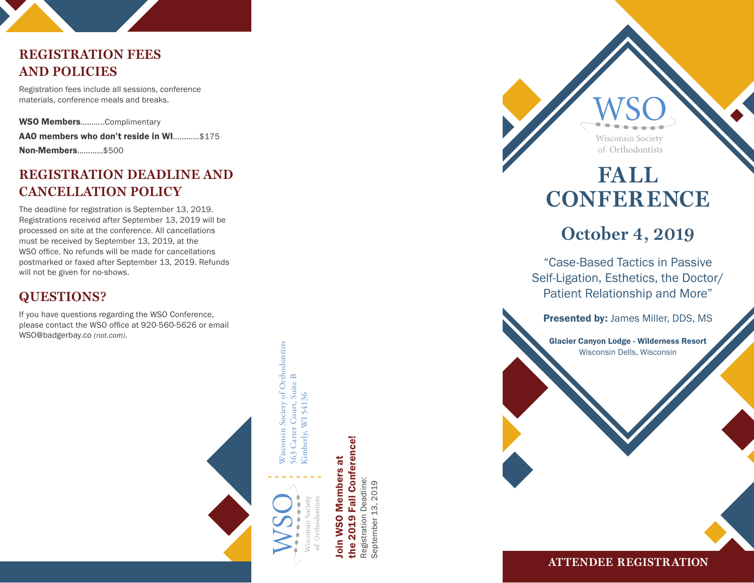# **REGISTRATION FEES AND POLICIES**

Registration fees include all sessions, conference materials, conference meals and breaks.

WSO Members...........Complimentary AAO members who don't reside in WI............\$175 Non-Members…………\$500

## **REGISTRATION DEADLINE AND CANCELLATION POLICY**

The deadline for registration is September 13, 2019. Registrations received after September 13, 2019 will be processed on site at the conference. All cancellations must be received by September 13, 2019, at the WSO office. No refunds will be made for cancellations postmarked or faxed after September 13, 2019. Refunds will not be given for no-shows.

# **QUESTIONS?**

If you have questions regarding the WSO Conference, please contact the WSO office at 920-560-5626 or email WSO@badgerbay.co *(not.com)*.





Wisconsin Society of Orthodontists

Wisconsin Society of Orthodontists Carter Court, Suite B

563 Carter Court, Suite B Kimberly, WI 54136

563

Kimberly, WI 54136

**Fall Conference!** the 2019 Fall Conference! Join WSO Members at oin WSO Members at Registration Deadline: Registration Deadline: the 2019

September 13, 2019

September 13, 2019

of Orthodontists **FALL CONFERENCE** 

**Wisconsin Society** 

# **October 4, 2019**

"Case-Based Tactics in Passive Self-Ligation, Esthetics, the Doctor/ Patient Relationship and More"

Presented by: James Miller, DDS, MS

Glacier Canyon Lodge - Wilderness Resort Wisconsin Dells, Wisconsin

**ATTENDEE REGISTR ATION**